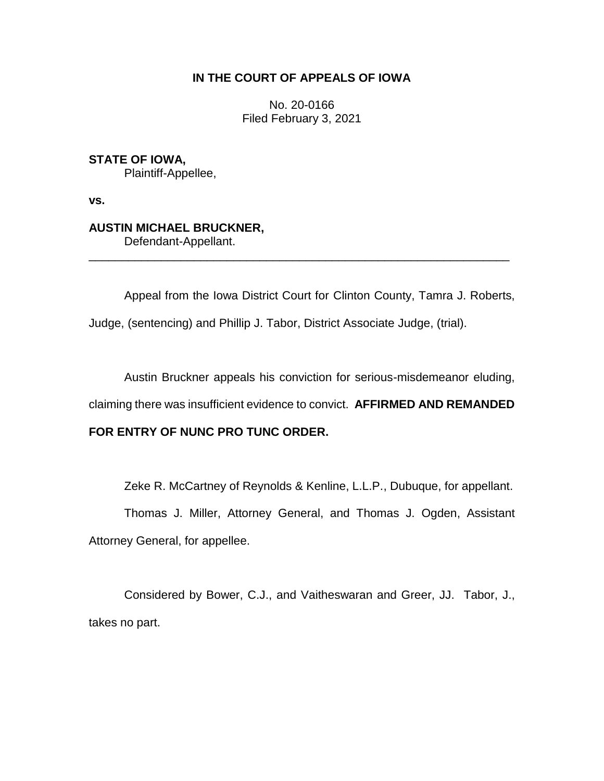## **IN THE COURT OF APPEALS OF IOWA**

No. 20-0166 Filed February 3, 2021

**STATE OF IOWA,** Plaintiff-Appellee,

**vs.**

# **AUSTIN MICHAEL BRUCKNER,**

Defendant-Appellant.

Appeal from the Iowa District Court for Clinton County, Tamra J. Roberts, Judge, (sentencing) and Phillip J. Tabor, District Associate Judge, (trial).

\_\_\_\_\_\_\_\_\_\_\_\_\_\_\_\_\_\_\_\_\_\_\_\_\_\_\_\_\_\_\_\_\_\_\_\_\_\_\_\_\_\_\_\_\_\_\_\_\_\_\_\_\_\_\_\_\_\_\_\_\_\_\_\_

Austin Bruckner appeals his conviction for serious-misdemeanor eluding,

claiming there was insufficient evidence to convict. **AFFIRMED AND REMANDED** 

## **FOR ENTRY OF NUNC PRO TUNC ORDER.**

Zeke R. McCartney of Reynolds & Kenline, L.L.P., Dubuque, for appellant.

Thomas J. Miller, Attorney General, and Thomas J. Ogden, Assistant Attorney General, for appellee.

Considered by Bower, C.J., and Vaitheswaran and Greer, JJ. Tabor, J., takes no part.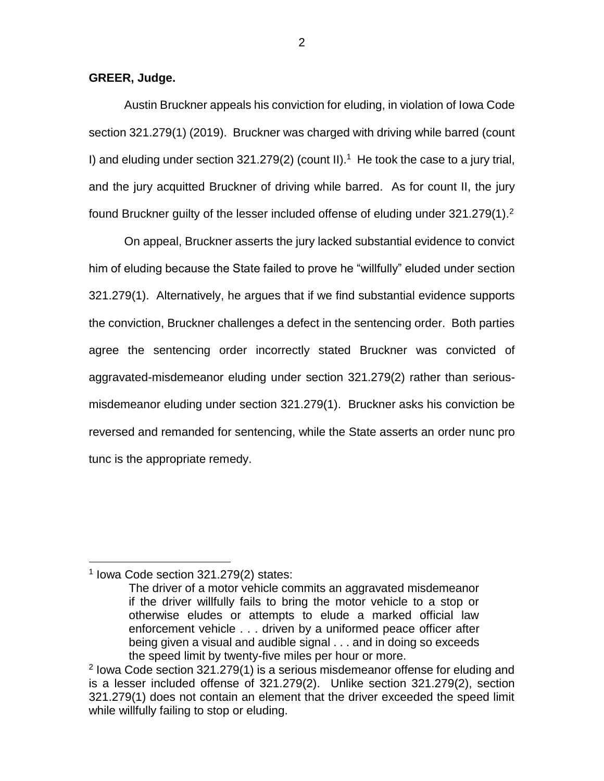**GREER, Judge.**

Austin Bruckner appeals his conviction for eluding, in violation of Iowa Code section 321.279(1) (2019). Bruckner was charged with driving while barred (count I) and eluding under section  $321.279(2)$  (count II).<sup>1</sup> He took the case to a jury trial, and the jury acquitted Bruckner of driving while barred. As for count II, the jury found Bruckner guilty of the lesser included offense of eluding under  $321.279(1).^{2}$ 

On appeal, Bruckner asserts the jury lacked substantial evidence to convict him of eluding because the State failed to prove he "willfully" eluded under section 321.279(1). Alternatively, he argues that if we find substantial evidence supports the conviction, Bruckner challenges a defect in the sentencing order. Both parties agree the sentencing order incorrectly stated Bruckner was convicted of aggravated-misdemeanor eluding under section 321.279(2) rather than seriousmisdemeanor eluding under section 321.279(1). Bruckner asks his conviction be reversed and remanded for sentencing, while the State asserts an order nunc pro tunc is the appropriate remedy.

 $\overline{a}$ 

<sup>1</sup> Iowa Code section 321.279(2) states:

The driver of a motor vehicle commits an aggravated misdemeanor if the driver willfully fails to bring the motor vehicle to a stop or otherwise eludes or attempts to elude a marked official law enforcement vehicle . . . driven by a uniformed peace officer after being given a visual and audible signal . . . and in doing so exceeds the speed limit by twenty-five miles per hour or more.

<sup>&</sup>lt;sup>2</sup> lowa Code section 321.279(1) is a serious misdemeanor offense for eluding and is a lesser included offense of 321.279(2). Unlike section 321.279(2), section 321.279(1) does not contain an element that the driver exceeded the speed limit while willfully failing to stop or eluding.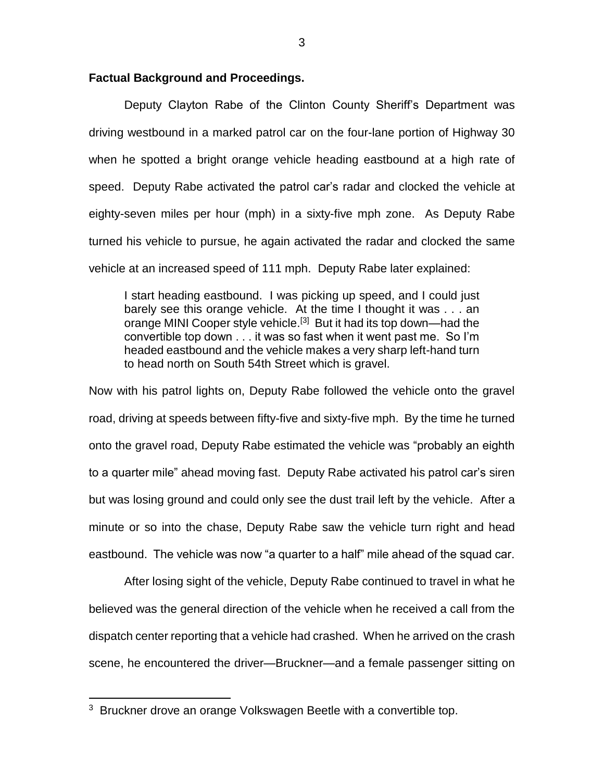#### **Factual Background and Proceedings.**

Deputy Clayton Rabe of the Clinton County Sheriff's Department was driving westbound in a marked patrol car on the four-lane portion of Highway 30 when he spotted a bright orange vehicle heading eastbound at a high rate of speed. Deputy Rabe activated the patrol car's radar and clocked the vehicle at eighty-seven miles per hour (mph) in a sixty-five mph zone. As Deputy Rabe turned his vehicle to pursue, he again activated the radar and clocked the same vehicle at an increased speed of 111 mph. Deputy Rabe later explained:

I start heading eastbound. I was picking up speed, and I could just barely see this orange vehicle. At the time I thought it was . . . an orange MINI Cooper style vehicle.<sup>[3]</sup> But it had its top down—had the convertible top down . . . it was so fast when it went past me. So I'm headed eastbound and the vehicle makes a very sharp left-hand turn to head north on South 54th Street which is gravel.

Now with his patrol lights on, Deputy Rabe followed the vehicle onto the gravel road, driving at speeds between fifty-five and sixty-five mph. By the time he turned onto the gravel road, Deputy Rabe estimated the vehicle was "probably an eighth to a quarter mile" ahead moving fast. Deputy Rabe activated his patrol car's siren but was losing ground and could only see the dust trail left by the vehicle. After a minute or so into the chase, Deputy Rabe saw the vehicle turn right and head eastbound. The vehicle was now "a quarter to a half" mile ahead of the squad car.

After losing sight of the vehicle, Deputy Rabe continued to travel in what he believed was the general direction of the vehicle when he received a call from the dispatch center reporting that a vehicle had crashed. When he arrived on the crash scene, he encountered the driver—Bruckner—and a female passenger sitting on

 $\overline{a}$ 

<sup>&</sup>lt;sup>3</sup> Bruckner drove an orange Volkswagen Beetle with a convertible top.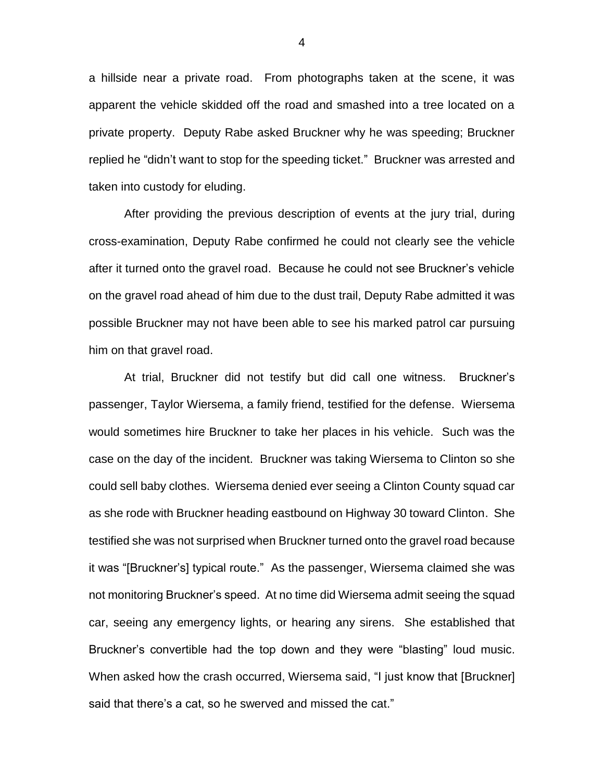a hillside near a private road. From photographs taken at the scene, it was apparent the vehicle skidded off the road and smashed into a tree located on a private property. Deputy Rabe asked Bruckner why he was speeding; Bruckner replied he "didn't want to stop for the speeding ticket." Bruckner was arrested and taken into custody for eluding.

After providing the previous description of events at the jury trial, during cross-examination, Deputy Rabe confirmed he could not clearly see the vehicle after it turned onto the gravel road. Because he could not see Bruckner's vehicle on the gravel road ahead of him due to the dust trail, Deputy Rabe admitted it was possible Bruckner may not have been able to see his marked patrol car pursuing him on that gravel road.

At trial, Bruckner did not testify but did call one witness. Bruckner's passenger, Taylor Wiersema, a family friend, testified for the defense. Wiersema would sometimes hire Bruckner to take her places in his vehicle. Such was the case on the day of the incident. Bruckner was taking Wiersema to Clinton so she could sell baby clothes. Wiersema denied ever seeing a Clinton County squad car as she rode with Bruckner heading eastbound on Highway 30 toward Clinton. She testified she was not surprised when Bruckner turned onto the gravel road because it was "[Bruckner's] typical route." As the passenger, Wiersema claimed she was not monitoring Bruckner's speed. At no time did Wiersema admit seeing the squad car, seeing any emergency lights, or hearing any sirens. She established that Bruckner's convertible had the top down and they were "blasting" loud music. When asked how the crash occurred, Wiersema said, "I just know that [Bruckner] said that there's a cat, so he swerved and missed the cat."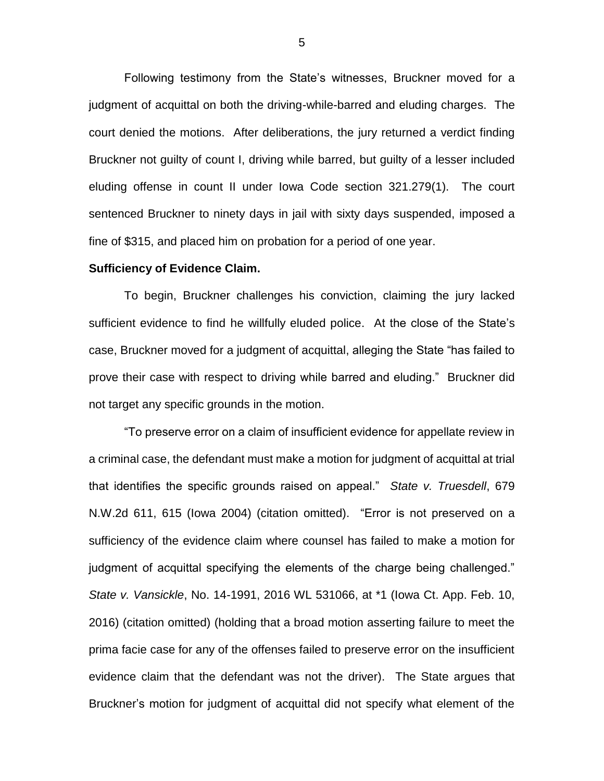Following testimony from the State's witnesses, Bruckner moved for a judgment of acquittal on both the driving-while-barred and eluding charges. The court denied the motions. After deliberations, the jury returned a verdict finding Bruckner not guilty of count I, driving while barred, but guilty of a lesser included eluding offense in count II under Iowa Code section 321.279(1). The court sentenced Bruckner to ninety days in jail with sixty days suspended, imposed a fine of \$315, and placed him on probation for a period of one year.

#### **Sufficiency of Evidence Claim.**

To begin, Bruckner challenges his conviction, claiming the jury lacked sufficient evidence to find he willfully eluded police. At the close of the State's case, Bruckner moved for a judgment of acquittal, alleging the State "has failed to prove their case with respect to driving while barred and eluding." Bruckner did not target any specific grounds in the motion.

"To preserve error on a claim of insufficient evidence for appellate review in a criminal case, the defendant must make a motion for judgment of acquittal at trial that identifies the specific grounds raised on appeal." *State v. Truesdell*, 679 N.W.2d 611, 615 (Iowa 2004) (citation omitted). "Error is not preserved on a sufficiency of the evidence claim where counsel has failed to make a motion for judgment of acquittal specifying the elements of the charge being challenged." *State v. Vansickle*, No. 14-1991, 2016 WL 531066, at \*1 (Iowa Ct. App. Feb. 10, 2016) (citation omitted) (holding that a broad motion asserting failure to meet the prima facie case for any of the offenses failed to preserve error on the insufficient evidence claim that the defendant was not the driver). The State argues that Bruckner's motion for judgment of acquittal did not specify what element of the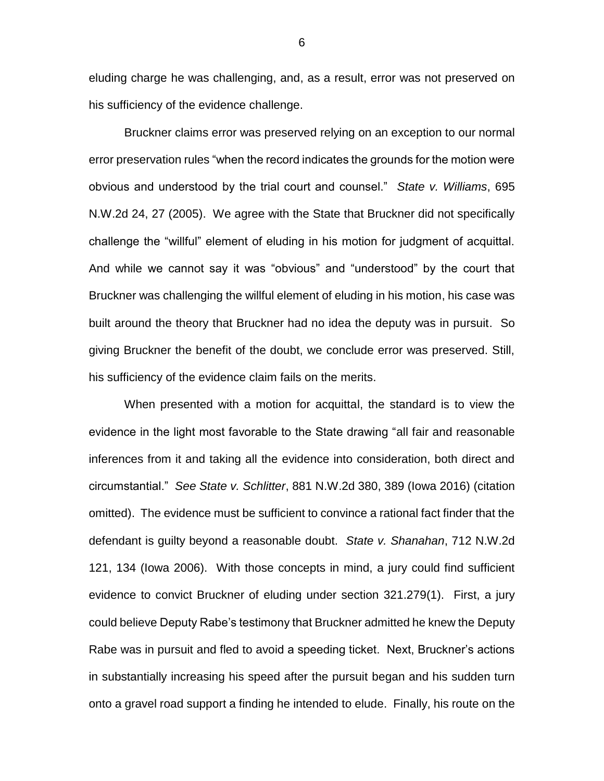eluding charge he was challenging, and, as a result, error was not preserved on his sufficiency of the evidence challenge.

Bruckner claims error was preserved relying on an exception to our normal error preservation rules "when the record indicates the grounds for the motion were obvious and understood by the trial court and counsel." *State v. Williams*, 695 N.W.2d 24, 27 (2005). We agree with the State that Bruckner did not specifically challenge the "willful" element of eluding in his motion for judgment of acquittal. And while we cannot say it was "obvious" and "understood" by the court that Bruckner was challenging the willful element of eluding in his motion, his case was built around the theory that Bruckner had no idea the deputy was in pursuit. So giving Bruckner the benefit of the doubt, we conclude error was preserved. Still, his sufficiency of the evidence claim fails on the merits.

When presented with a motion for acquittal, the standard is to view the evidence in the light most favorable to the State drawing "all fair and reasonable inferences from it and taking all the evidence into consideration, both direct and circumstantial." *See State v. Schlitter*, 881 N.W.2d 380, 389 (Iowa 2016) (citation omitted). The evidence must be sufficient to convince a rational fact finder that the defendant is guilty beyond a reasonable doubt. *State v. Shanahan*, 712 N.W.2d 121, 134 (Iowa 2006). With those concepts in mind, a jury could find sufficient evidence to convict Bruckner of eluding under section 321.279(1). First, a jury could believe Deputy Rabe's testimony that Bruckner admitted he knew the Deputy Rabe was in pursuit and fled to avoid a speeding ticket. Next, Bruckner's actions in substantially increasing his speed after the pursuit began and his sudden turn onto a gravel road support a finding he intended to elude. Finally, his route on the

6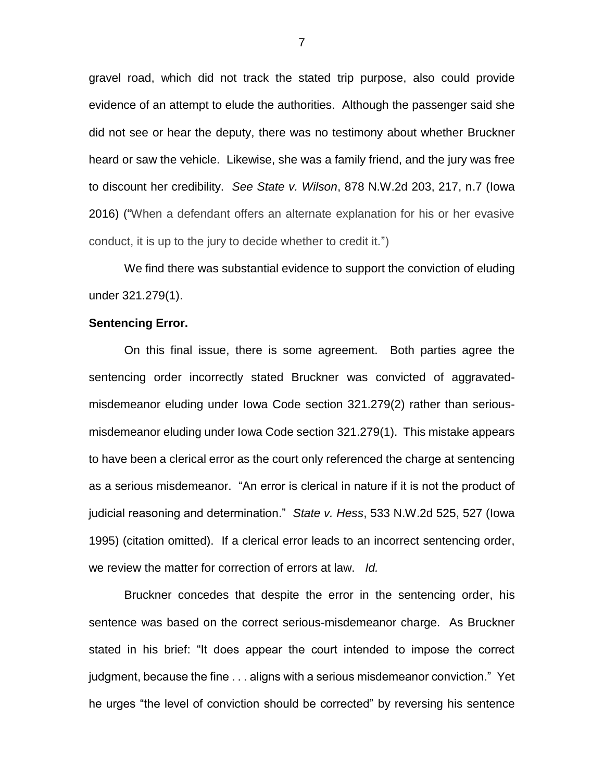gravel road, which did not track the stated trip purpose, also could provide evidence of an attempt to elude the authorities. Although the passenger said she did not see or hear the deputy, there was no testimony about whether Bruckner heard or saw the vehicle. Likewise, she was a family friend, and the jury was free to discount her credibility. *See State v. Wilson*, 878 N.W.2d 203, 217, n.7 (Iowa 2016) ("When a defendant offers an alternate explanation for his or her evasive conduct, it is up to the jury to decide whether to credit it.")

We find there was substantial evidence to support the conviction of eluding under 321.279(1).

### **Sentencing Error.**

On this final issue, there is some agreement. Both parties agree the sentencing order incorrectly stated Bruckner was convicted of aggravatedmisdemeanor eluding under Iowa Code section 321.279(2) rather than seriousmisdemeanor eluding under Iowa Code section 321.279(1). This mistake appears to have been a clerical error as the court only referenced the charge at sentencing as a serious misdemeanor. "An error is clerical in nature if it is not the product of judicial reasoning and determination." *State v. Hess*, 533 N.W.2d 525, 527 (Iowa 1995) (citation omitted). If a clerical error leads to an incorrect sentencing order, we review the matter for correction of errors at law. *Id.*

Bruckner concedes that despite the error in the sentencing order, his sentence was based on the correct serious-misdemeanor charge. As Bruckner stated in his brief: "It does appear the court intended to impose the correct judgment, because the fine . . . aligns with a serious misdemeanor conviction." Yet he urges "the level of conviction should be corrected" by reversing his sentence